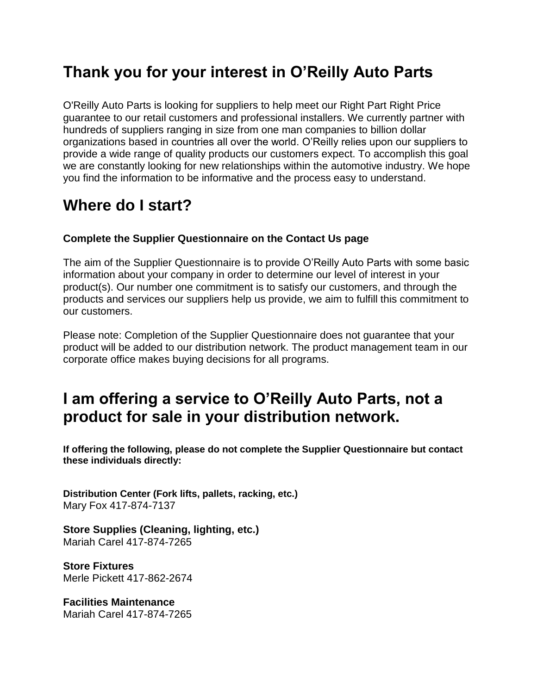# **Thank you for your interest in O'Reilly Auto Parts**

O'Reilly Auto Parts is looking for suppliers to help meet our Right Part Right Price guarantee to our retail customers and professional installers. We currently partner with hundreds of suppliers ranging in size from one man companies to billion dollar organizations based in countries all over the world. O'Reilly relies upon our suppliers to provide a wide range of quality products our customers expect. To accomplish this goal we are constantly looking for new relationships within the automotive industry. We hope you find the information to be informative and the process easy to understand.

#### **Where do I start?**

#### **Complete the Supplier Questionnaire on the Contact Us page**

The aim of the Supplier Questionnaire is to provide O'Reilly Auto Parts with some basic information about your company in order to determine our level of interest in your product(s). Our number one commitment is to satisfy our customers, and through the products and services our suppliers help us provide, we aim to fulfill this commitment to our customers.

Please note: Completion of the Supplier Questionnaire does not guarantee that your product will be added to our distribution network. The product management team in our corporate office makes buying decisions for all programs.

# **I am offering a service to O'Reilly Auto Parts, not a product for sale in your distribution network.**

**If offering the following, please do not complete the Supplier Questionnaire but contact these individuals directly:**

**Distribution Center (Fork lifts, pallets, racking, etc.)** Mary Fox 417-874-7137

**Store Supplies (Cleaning, lighting, etc.)** Mariah Carel 417-874-7265

**Store Fixtures** Merle Pickett 417-862-2674

**Facilities Maintenance** Mariah Carel 417-874-7265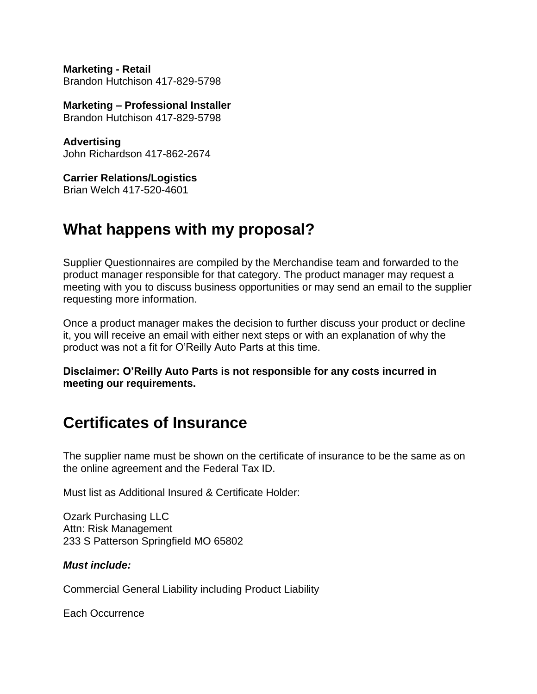**Marketing - Retail** Brandon Hutchison 417-829-5798

**Marketing – Professional Installer** Brandon Hutchison 417-829-5798

**Advertising** John Richardson 417-862-2674

**Carrier Relations/Logistics** Brian Welch 417-520-4601

# **What happens with my proposal?**

Supplier Questionnaires are compiled by the Merchandise team and forwarded to the product manager responsible for that category. The product manager may request a meeting with you to discuss business opportunities or may send an email to the supplier requesting more information.

Once a product manager makes the decision to further discuss your product or decline it, you will receive an email with either next steps or with an explanation of why the product was not a fit for O'Reilly Auto Parts at this time.

**Disclaimer: O'Reilly Auto Parts is not responsible for any costs incurred in meeting our requirements.**

#### **Certificates of Insurance**

The supplier name must be shown on the certificate of insurance to be the same as on the online agreement and the Federal Tax ID.

Must list as Additional Insured & Certificate Holder:

Ozark Purchasing LLC Attn: Risk Management 233 S Patterson Springfield MO 65802

#### *Must include:*

Commercial General Liability including Product Liability

Each Occurrence